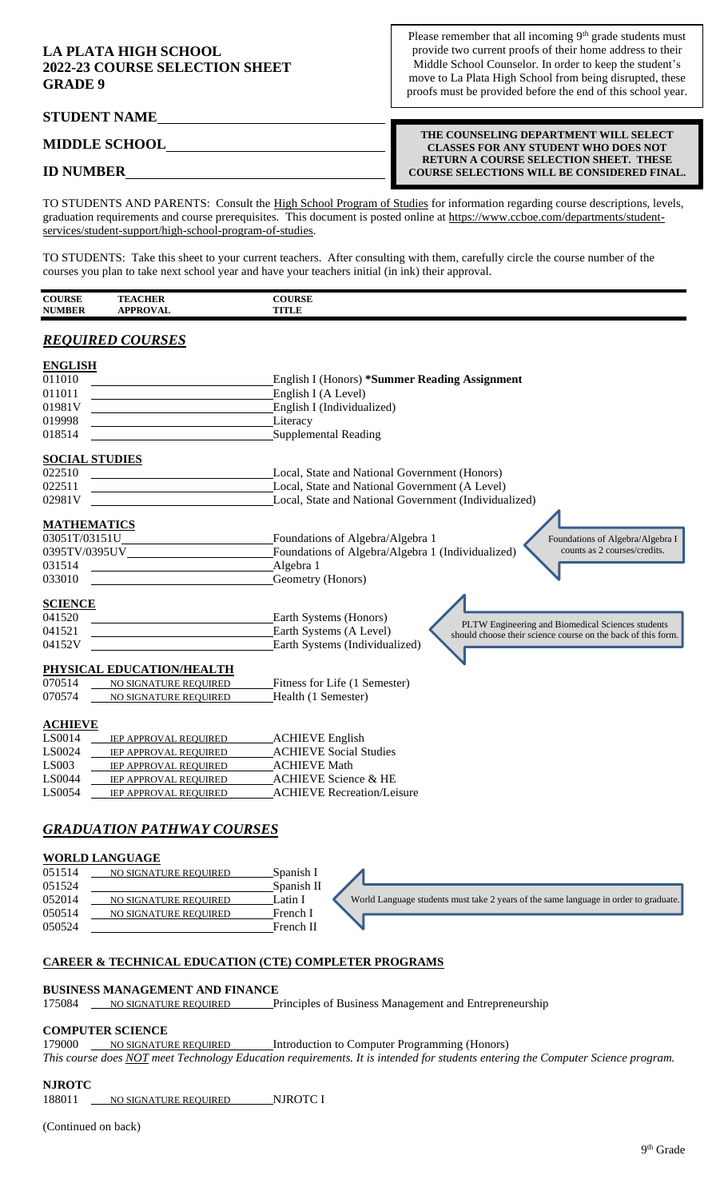## **LA PLATA HIGH SCHOOL 2022-23 COURSE SELECTION SHEET GRADE 9**

**STUDENT NAME** 

Please remember that all incoming  $9<sup>th</sup>$  grade students must provide two current proofs of their home address to their Middle School Counselor. In order to keep the student's move to La Plata High School from being disrupted, these proofs must be provided before the end of this school year.

**MIDDLE SCHOOL**

**THE COUNSELING DEPARTMENT WILL SELECT CLASSES FOR ANY STUDENT WHO DOES NOT RETURN A COURSE SELECTION SHEET. THESE COURSE SELECTIONS WILL BE CONSIDERED FINAL.**

# **ID NUMBER**

TO STUDENTS AND PARENTS: Consult the High School Program of Studies for information regarding course descriptions, levels, graduation requirements and course prerequisites. This document is posted online at https://www.ccboe.com/departments/studentservices/student-support/high-school-program-of-studies.

TO STUDENTS: Take this sheet to your current teachers. After consulting with them, carefully circle the course number of the courses you plan to take next school year and have your teachers initial (in ink) their approval.

| <b>COURSE</b><br>. | <b>CHER</b><br>TE.           | <b>COURSE</b><br>.    |
|--------------------|------------------------------|-----------------------|
| <b>NUMBER</b>      | DDDAYAT<br>'Kl<br>' Al<br>л. | <b>TITTET</b><br>TILE |

# *REQUIRED COURSES*

| <b>ENGLISH</b>                                           |                                                                                                                                              |
|----------------------------------------------------------|----------------------------------------------------------------------------------------------------------------------------------------------|
| 011010                                                   | <b>English I (Honors) *Summer Reading Assignment</b>                                                                                         |
| 011011                                                   | English I (A Level)                                                                                                                          |
| 01981V                                                   | English I (Individualized)                                                                                                                   |
| 019998                                                   | Literacy                                                                                                                                     |
| 018514                                                   | Supplemental Reading                                                                                                                         |
| <b>SOCIAL STUDIES</b>                                    |                                                                                                                                              |
| 022510                                                   | Local, State and National Government (Honors)                                                                                                |
| 022511                                                   | Local, State and National Government (A Level)                                                                                               |
| 02981V                                                   | Local, State and National Government (Individualized)                                                                                        |
| <b>MATHEMATICS</b>                                       |                                                                                                                                              |
| 03051T/03151U                                            | Foundations of Algebra/Algebra 1<br>Foundations of Algebra/Algebra I                                                                         |
| 0395TV/0395UV                                            | counts as 2 courses/credits.<br>Foundations of Algebra/Algebra 1 (Individualized)                                                            |
| 031514                                                   | Algebra 1                                                                                                                                    |
| 033010                                                   | Geometry (Honors)                                                                                                                            |
| <b>SCIENCE</b>                                           |                                                                                                                                              |
| 041520                                                   | Earth Systems (Honors)                                                                                                                       |
| 041521                                                   | PLTW Engineering and Biomedical Sciences students<br>Earth Systems (A Level)<br>should choose their science course on the back of this form. |
| 04152V                                                   | Earth Systems (Individualized)                                                                                                               |
| PHYSICAL EDUCATION/HEALTH                                |                                                                                                                                              |
| 070514<br>NO SIGNATURE REQUIRED                          | Fitness for Life (1 Semester)                                                                                                                |
| 070574<br>NO SIGNATURE REQUIRED                          | Health (1 Semester)                                                                                                                          |
| <b>ACHIEVE</b>                                           |                                                                                                                                              |
| LS0014<br><b>IEP APPROVAL REQUIRED</b>                   | <b>ACHIEVE English</b>                                                                                                                       |
| LS0024<br>IEP APPROVAL REQUIRED                          | <b>ACHIEVE Social Studies</b>                                                                                                                |
| <b>LS003</b><br>IEP APPROVAL REQUIRED                    | <b>ACHIEVE Math</b>                                                                                                                          |
| LS0044<br>IEP APPROVAL REQUIRED                          | <b>ACHIEVE Science &amp; HE</b>                                                                                                              |
| LS0054<br>IEP APPROVAL REQUIRED                          | <b>ACHIEVE Recreation/Leisure</b>                                                                                                            |
|                                                          |                                                                                                                                              |
| <b>GRADUATION PATHWAY COURSES</b>                        |                                                                                                                                              |
| <b>WORLD LANGUAGE</b>                                    |                                                                                                                                              |
| $\triangle$ F1 $\epsilon$ 1 $\Lambda$<br><b>EDECITOR</b> | $C_{\text{meas}}$ is $L$ $\overline{L}$                                                                                                      |

051514 NO SIGNATURE REQUIRED Spanish I 051524 Spanish II 052014 NO SIGNATURE REQUIRED Latin I 050514 NO SIGNATURE REQUIRED French I 050524 French II World Language students must take 2 years of the same language in order to graduate

## **CAREER & TECHNICAL EDUCATION (CTE) COMPLETER PROGRAMS**

### **BUSINESS MANAGEMENT AND FINANCE**

175084 NO SIGNATURE REQUIRED Principles of Business Management and Entrepreneurship

## **COMPUTER SCIENCE**

179000 NO SIGNATURE REQUIRED Introduction to Computer Programming (Honors)

*This course does NOT meet Technology Education requirements. It is intended for students entering the Computer Science program.*

## **NJROTC**

188011 NO SIGNATURE REQUIRED NJROTC I

(Continued on back)